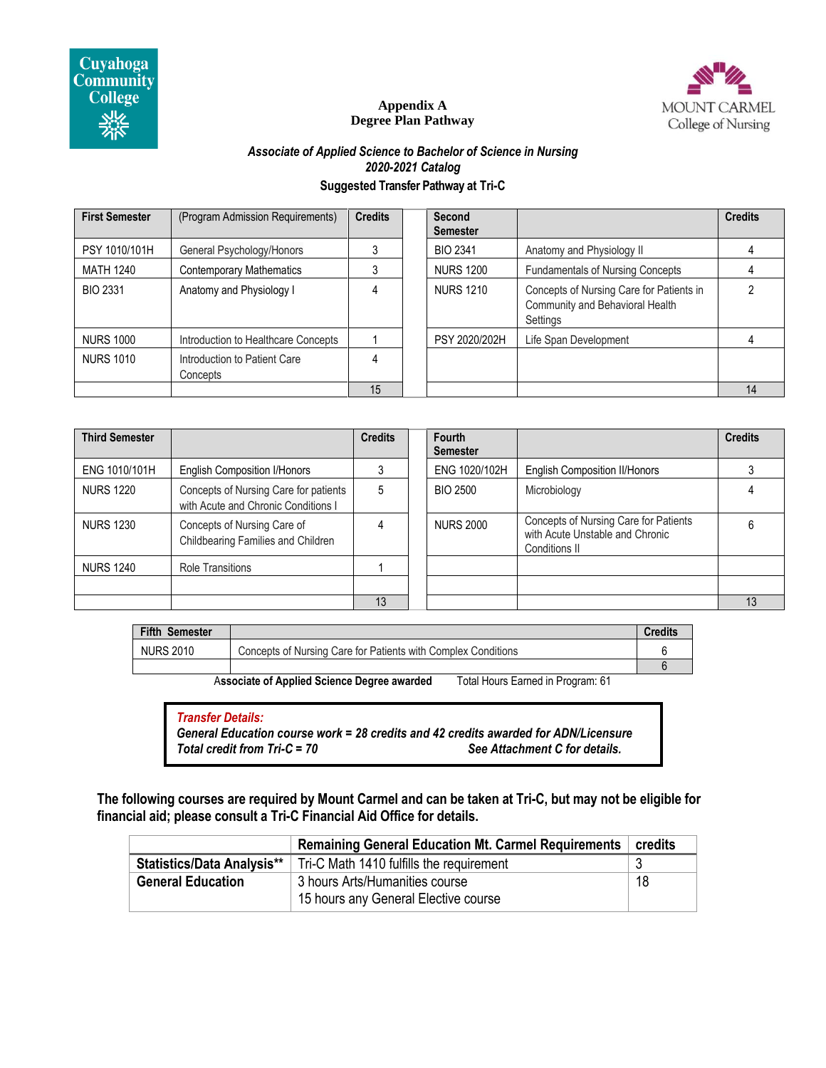

# MOUNT CARMEL College of Nursing

#### **Appendix A Degree Plan Pathway**

### *Associate of Applied Science to Bachelor of Science in Nursing 2020-2021 Catalog* **Suggested Transfer Pathway at Tri-C**

| <b>First Semester</b> | (Program Admission Requirements)         | <b>Credits</b> | Second<br><b>Semester</b> |                                                                                         | <b>Credits</b> |
|-----------------------|------------------------------------------|----------------|---------------------------|-----------------------------------------------------------------------------------------|----------------|
| PSY 1010/101H         | General Psychology/Honors                |                | <b>BIO 2341</b>           | Anatomy and Physiology II                                                               |                |
| <b>MATH 1240</b>      | <b>Contemporary Mathematics</b>          |                | <b>NURS 1200</b>          | <b>Fundamentals of Nursing Concepts</b>                                                 |                |
| <b>BIO 2331</b>       | Anatomy and Physiology I                 | 4              | <b>NURS 1210</b>          | Concepts of Nursing Care for Patients in<br>Community and Behavioral Health<br>Settings |                |
| <b>NURS 1000</b>      | Introduction to Healthcare Concepts      |                | PSY 2020/202H             | Life Span Development                                                                   |                |
| <b>NURS 1010</b>      | Introduction to Patient Care<br>Concepts | 4              |                           |                                                                                         |                |
|                       |                                          | 15             |                           |                                                                                         | 14             |

| <b>Third Semester</b> |                                                                              | <b>Credits</b> | Fourth<br><b>Semester</b> |                                                                                                  | <b>Credits</b> |
|-----------------------|------------------------------------------------------------------------------|----------------|---------------------------|--------------------------------------------------------------------------------------------------|----------------|
| ENG 1010/101H         | <b>English Composition I/Honors</b>                                          |                | ENG 1020/102H             | <b>English Composition II/Honors</b>                                                             |                |
| <b>NURS 1220</b>      | Concepts of Nursing Care for patients<br>with Acute and Chronic Conditions I | 5              | <b>BIO 2500</b>           | Microbiology                                                                                     |                |
| <b>NURS 1230</b>      | Concepts of Nursing Care of<br>Childbearing Families and Children            |                | <b>NURS 2000</b>          | Concepts of Nursing Care for Patients<br>with Acute Unstable and Chronic<br><b>Conditions II</b> |                |
| <b>NURS 1240</b>      | <b>Role Transitions</b>                                                      |                |                           |                                                                                                  |                |
|                       |                                                                              |                |                           |                                                                                                  |                |
|                       |                                                                              | 13             |                           |                                                                                                  | 13             |

| <b>Fifth Semester</b> |                                                               | Credits |
|-----------------------|---------------------------------------------------------------|---------|
| <b>NURS 2010</b>      | Concepts of Nursing Care for Patients with Complex Conditions |         |
|                       |                                                               |         |

A**ssociate of Applied Science Degree awarded** Total Hours Earned in Program: 61

#### *Transfer Details:*

*General Education course work = 28 credits and 42 credits awarded for ADN/Licensure Total credit from Tri-C = 70 See Attachment C for details.*

**The following courses are required by Mount Carmel and can be taken at Tri-C, but may not be eligible for financial aid; please consult a Tri-C Financial Aid Office for details.**

|                                   | <b>Remaining General Education Mt. Carmel Requirements</b> | credits |
|-----------------------------------|------------------------------------------------------------|---------|
| <b>Statistics/Data Analysis**</b> | Tri-C Math 1410 fulfills the requirement                   |         |
| <b>General Education</b>          | 3 hours Arts/Humanities course                             | 18      |
|                                   | 15 hours any General Elective course                       |         |